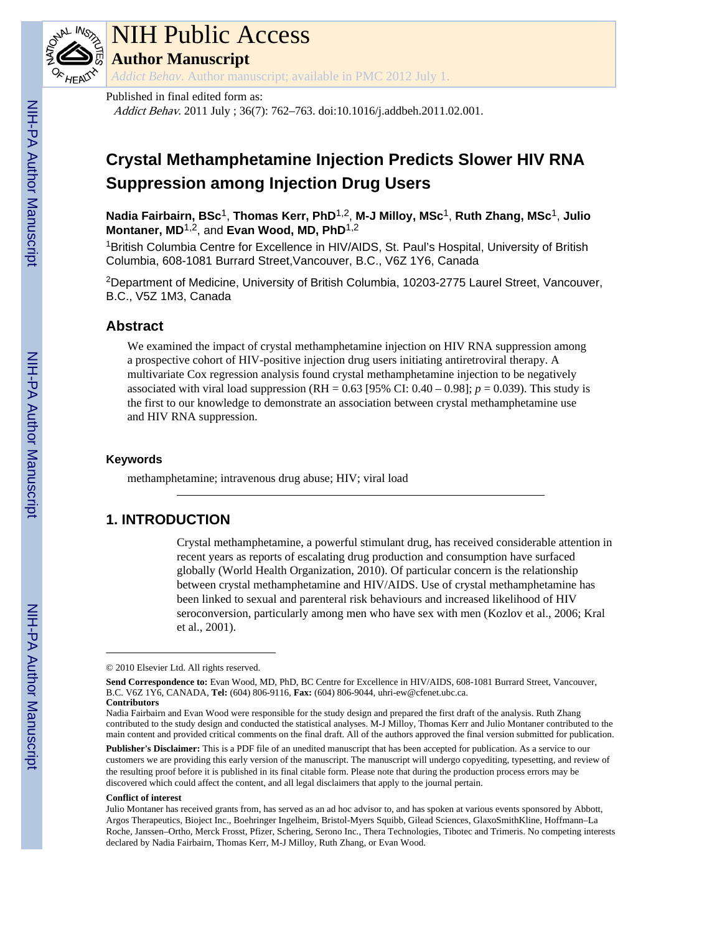

# NIH Public Access

**Author Manuscript**

*Addict Behav*. Author manuscript; available in PMC 2012 July 1.

#### Published in final edited form as:

Addict Behav. 2011 July ; 36(7): 762–763. doi:10.1016/j.addbeh.2011.02.001.

# **Crystal Methamphetamine Injection Predicts Slower HIV RNA Suppression among Injection Drug Users**

**Nadia Fairbairn, BSc**1, **Thomas Kerr, PhD**1,2, **M-J Milloy, MSc**1, **Ruth Zhang, MSc**1, **Julio** Montaner, MD<sup>1,2</sup>, and Evan Wood, MD, PhD<sup>1,2</sup>

<sup>1</sup>British Columbia Centre for Excellence in HIV/AIDS, St. Paul's Hospital, University of British Columbia, 608-1081 Burrard Street,Vancouver, B.C., V6Z 1Y6, Canada

<sup>2</sup>Department of Medicine, University of British Columbia, 10203-2775 Laurel Street, Vancouver, B.C., V5Z 1M3, Canada

### **Abstract**

We examined the impact of crystal methamphetamine injection on HIV RNA suppression among a prospective cohort of HIV-positive injection drug users initiating antiretroviral therapy. A multivariate Cox regression analysis found crystal methamphetamine injection to be negatively associated with viral load suppression (RH =  $0.63$  [95% CI:  $0.40 - 0.98$ ];  $p = 0.039$ ). This study is the first to our knowledge to demonstrate an association between crystal methamphetamine use and HIV RNA suppression.

#### **Keywords**

methamphetamine; intravenous drug abuse; HIV; viral load

## **1. INTRODUCTION**

Crystal methamphetamine, a powerful stimulant drug, has received considerable attention in recent years as reports of escalating drug production and consumption have surfaced globally (World Health Organization, 2010). Of particular concern is the relationship between crystal methamphetamine and HIV/AIDS. Use of crystal methamphetamine has been linked to sexual and parenteral risk behaviours and increased likelihood of HIV seroconversion, particularly among men who have sex with men (Kozlov et al., 2006; Kral et al., 2001).

**Publisher's Disclaimer:** This is a PDF file of an unedited manuscript that has been accepted for publication. As a service to our customers we are providing this early version of the manuscript. The manuscript will undergo copyediting, typesetting, and review of the resulting proof before it is published in its final citable form. Please note that during the production process errors may be discovered which could affect the content, and all legal disclaimers that apply to the journal pertain.

#### **Conflict of interest**

<sup>© 2010</sup> Elsevier Ltd. All rights reserved.

**Send Correspondence to:** Evan Wood, MD, PhD, BC Centre for Excellence in HIV/AIDS, 608-1081 Burrard Street, Vancouver, B.C. V6Z 1Y6, CANADA, **Tel:** (604) 806-9116, **Fax:** (604) 806-9044, uhri-ew@cfenet.ubc.ca. **Contributors**

Nadia Fairbairn and Evan Wood were responsible for the study design and prepared the first draft of the analysis. Ruth Zhang contributed to the study design and conducted the statistical analyses. M-J Milloy, Thomas Kerr and Julio Montaner contributed to the main content and provided critical comments on the final draft. All of the authors approved the final version submitted for publication.

Julio Montaner has received grants from, has served as an ad hoc advisor to, and has spoken at various events sponsored by Abbott, Argos Therapeutics, Bioject Inc., Boehringer Ingelheim, Bristol-Myers Squibb, Gilead Sciences, GlaxoSmithKline, Hoffmann–La Roche, Janssen–Ortho, Merck Frosst, Pfizer, Schering, Serono Inc., Thera Technologies, Tibotec and Trimeris. No competing interests declared by Nadia Fairbairn, Thomas Kerr, M-J Milloy, Ruth Zhang, or Evan Wood.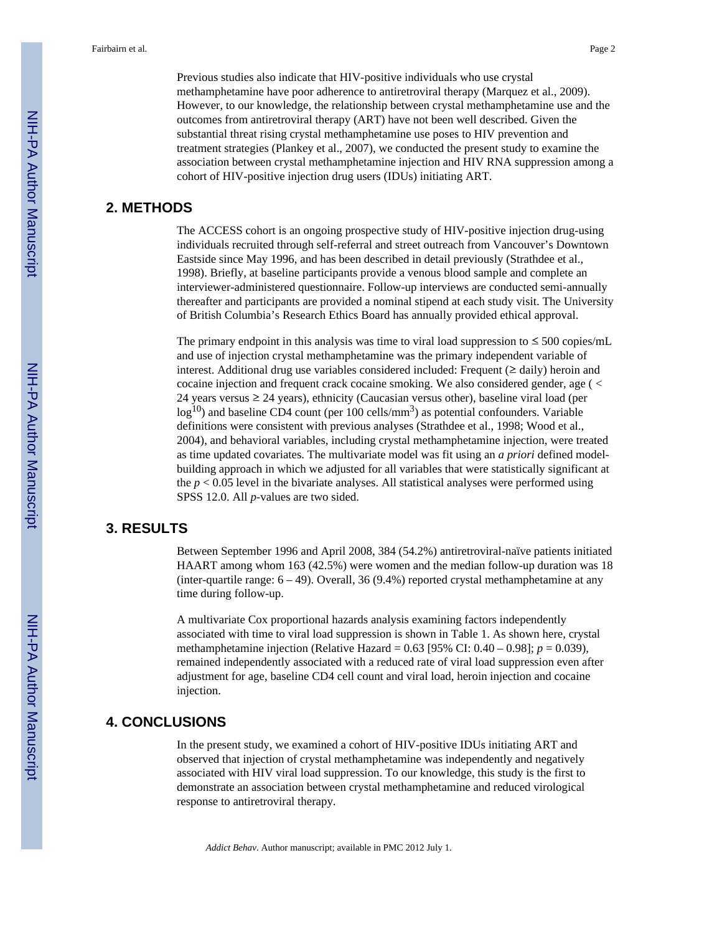Previous studies also indicate that HIV-positive individuals who use crystal methamphetamine have poor adherence to antiretroviral therapy (Marquez et al., 2009). However, to our knowledge, the relationship between crystal methamphetamine use and the outcomes from antiretroviral therapy (ART) have not been well described. Given the substantial threat rising crystal methamphetamine use poses to HIV prevention and treatment strategies (Plankey et al., 2007), we conducted the present study to examine the association between crystal methamphetamine injection and HIV RNA suppression among a cohort of HIV-positive injection drug users (IDUs) initiating ART.

#### **2. METHODS**

The ACCESS cohort is an ongoing prospective study of HIV-positive injection drug-using individuals recruited through self-referral and street outreach from Vancouver's Downtown Eastside since May 1996, and has been described in detail previously (Strathdee et al., 1998). Briefly, at baseline participants provide a venous blood sample and complete an interviewer-administered questionnaire. Follow-up interviews are conducted semi-annually thereafter and participants are provided a nominal stipend at each study visit. The University of British Columbia's Research Ethics Board has annually provided ethical approval.

The primary endpoint in this analysis was time to viral load suppression to  $\leq$  500 copies/mL and use of injection crystal methamphetamine was the primary independent variable of interest. Additional drug use variables considered included: Frequent (≥ daily) heroin and cocaine injection and frequent crack cocaine smoking. We also considered gender, age ( < 24 years versus  $\geq$  24 years), ethnicity (Caucasian versus other), baseline viral load (per  $log<sup>10</sup>$ ) and baseline CD4 count (per 100 cells/mm<sup>3</sup>) as potential confounders. Variable definitions were consistent with previous analyses (Strathdee et al., 1998; Wood et al., 2004), and behavioral variables, including crystal methamphetamine injection, were treated as time updated covariates. The multivariate model was fit using an *a priori* defined modelbuilding approach in which we adjusted for all variables that were statistically significant at the  $p < 0.05$  level in the bivariate analyses. All statistical analyses were performed using SPSS 12.0. All *p*-values are two sided.

#### **3. RESULTS**

Between September 1996 and April 2008, 384 (54.2%) antiretroviral-naïve patients initiated HAART among whom 163 (42.5%) were women and the median follow-up duration was 18 (inter-quartile range:  $6 - 49$ ). Overall, 36 (9.4%) reported crystal methamphetamine at any time during follow-up.

A multivariate Cox proportional hazards analysis examining factors independently associated with time to viral load suppression is shown in Table 1. As shown here, crystal methamphetamine injection (Relative Hazard = 0.63 [95% CI: 0.40 – 0.98]; *p* = 0.039), remained independently associated with a reduced rate of viral load suppression even after adjustment for age, baseline CD4 cell count and viral load, heroin injection and cocaine injection.

### **4. CONCLUSIONS**

In the present study, we examined a cohort of HIV-positive IDUs initiating ART and observed that injection of crystal methamphetamine was independently and negatively associated with HIV viral load suppression. To our knowledge, this study is the first to demonstrate an association between crystal methamphetamine and reduced virological response to antiretroviral therapy.

*Addict Behav*. Author manuscript; available in PMC 2012 July 1.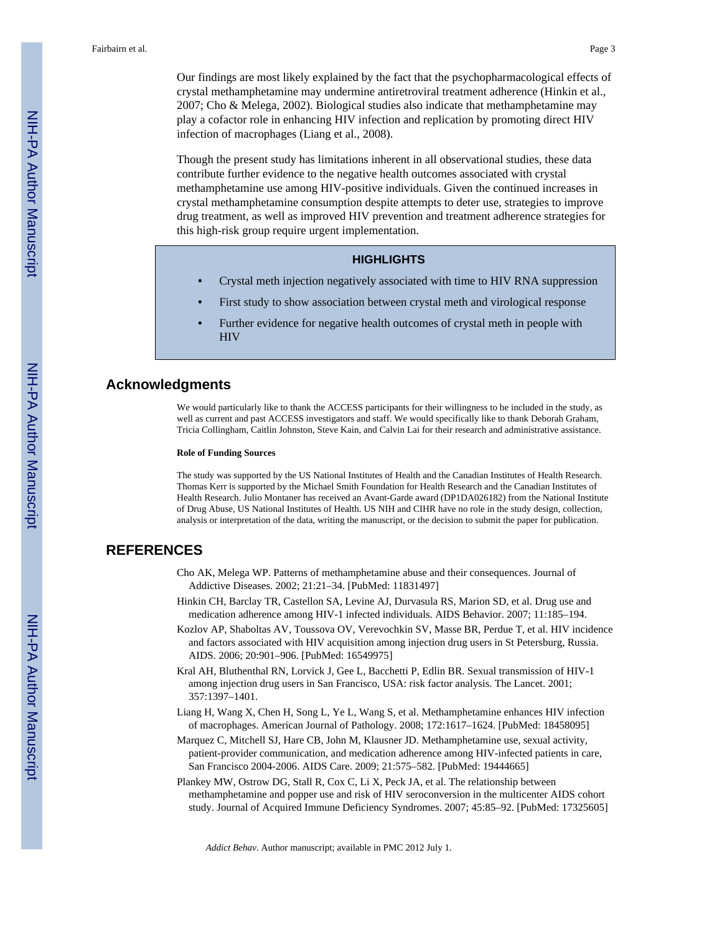Our findings are most likely explained by the fact that the psychopharmacological effects of crystal methamphetamine may undermine antiretroviral treatment adherence (Hinkin et al., 2007; Cho & Melega, 2002). Biological studies also indicate that methamphetamine may play a cofactor role in enhancing HIV infection and replication by promoting direct HIV infection of macrophages (Liang et al., 2008).

Though the present study has limitations inherent in all observational studies, these data contribute further evidence to the negative health outcomes associated with crystal methamphetamine use among HIV-positive individuals. Given the continued increases in crystal methamphetamine consumption despite attempts to deter use, strategies to improve drug treatment, as well as improved HIV prevention and treatment adherence strategies for this high-risk group require urgent implementation.

#### **HIGHLIGHTS**

- **•** Crystal meth injection negatively associated with time to HIV RNA suppression
- **•** First study to show association between crystal meth and virological response
- **•** Further evidence for negative health outcomes of crystal meth in people with **HIV**

#### **Acknowledgments**

We would particularly like to thank the ACCESS participants for their willingness to be included in the study, as well as current and past ACCESS investigators and staff. We would specifically like to thank Deborah Graham, Tricia Collingham, Caitlin Johnston, Steve Kain, and Calvin Lai for their research and administrative assistance.

#### **Role of Funding Sources**

The study was supported by the US National Institutes of Health and the Canadian Institutes of Health Research. Thomas Kerr is supported by the Michael Smith Foundation for Health Research and the Canadian Institutes of Health Research. Julio Montaner has received an Avant-Garde award (DP1DA026182) from the National Institute of Drug Abuse, US National Institutes of Health. US NIH and CIHR have no role in the study design, collection, analysis or interpretation of the data, writing the manuscript, or the decision to submit the paper for publication.

#### **REFERENCES**

- Cho AK, Melega WP. Patterns of methamphetamine abuse and their consequences. Journal of Addictive Diseases. 2002; 21:21–34. [PubMed: 11831497]
- Hinkin CH, Barclay TR, Castellon SA, Levine AJ, Durvasula RS, Marion SD, et al. Drug use and medication adherence among HIV-1 infected individuals. AIDS Behavior. 2007; 11:185–194.
- Kozlov AP, Shaboltas AV, Toussova OV, Verevochkin SV, Masse BR, Perdue T, et al. HIV incidence and factors associated with HIV acquisition among injection drug users in St Petersburg, Russia. AIDS. 2006; 20:901–906. [PubMed: 16549975]
- Kral AH, Bluthenthal RN, Lorvick J, Gee L, Bacchetti P, Edlin BR. Sexual transmission of HIV-1 among injection drug users in San Francisco, USA: risk factor analysis. The Lancet. 2001; 357:1397–1401.
- Liang H, Wang X, Chen H, Song L, Ye L, Wang S, et al. Methamphetamine enhances HIV infection of macrophages. American Journal of Pathology. 2008; 172:1617–1624. [PubMed: 18458095]
- Marquez C, Mitchell SJ, Hare CB, John M, Klausner JD. Methamphetamine use, sexual activity, patient-provider communication, and medication adherence among HIV-infected patients in care, San Francisco 2004-2006. AIDS Care. 2009; 21:575–582. [PubMed: 19444665]
- Plankey MW, Ostrow DG, Stall R, Cox C, Li X, Peck JA, et al. The relationship between methamphetamine and popper use and risk of HIV seroconversion in the multicenter AIDS cohort study. Journal of Acquired Immune Deficiency Syndromes. 2007; 45:85–92. [PubMed: 17325605]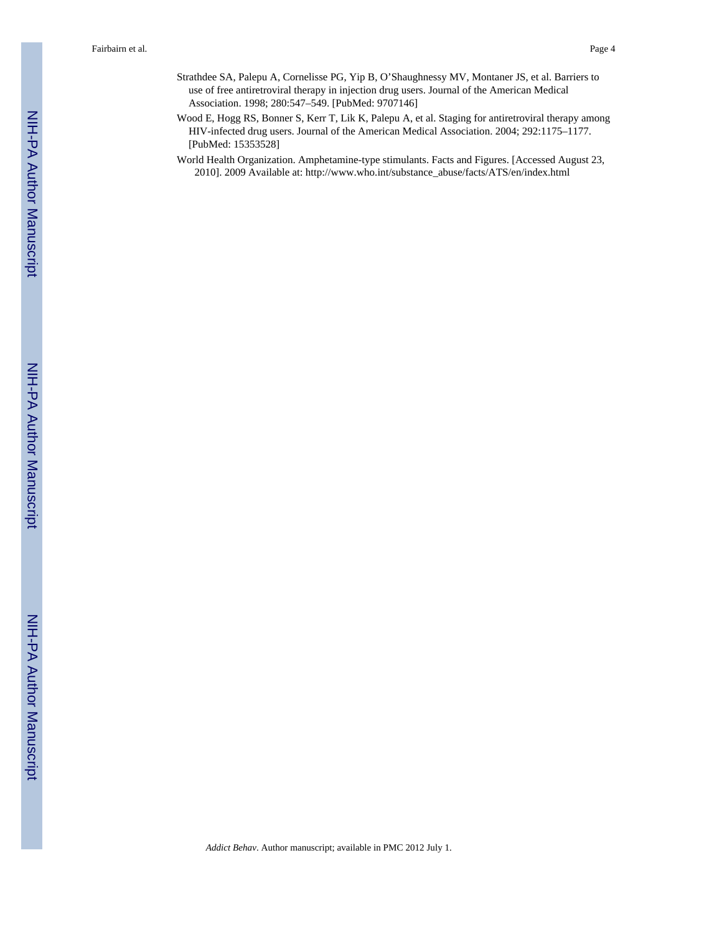- Strathdee SA, Palepu A, Cornelisse PG, Yip B, O'Shaughnessy MV, Montaner JS, et al. Barriers to use of free antiretroviral therapy in injection drug users. Journal of the American Medical Association. 1998; 280:547–549. [PubMed: 9707146]
- Wood E, Hogg RS, Bonner S, Kerr T, Lik K, Palepu A, et al. Staging for antiretroviral therapy among HIV-infected drug users. Journal of the American Medical Association. 2004; 292:1175–1177. [PubMed: 15353528]
- World Health Organization. Amphetamine-type stimulants. Facts and Figures. [Accessed August 23, 2010]. 2009 Available at: [http://www.who.int/substance\\_abuse/facts/ATS/en/index.html](http://www.who.int/substance_abuse/facts/ATS/en/index.html)